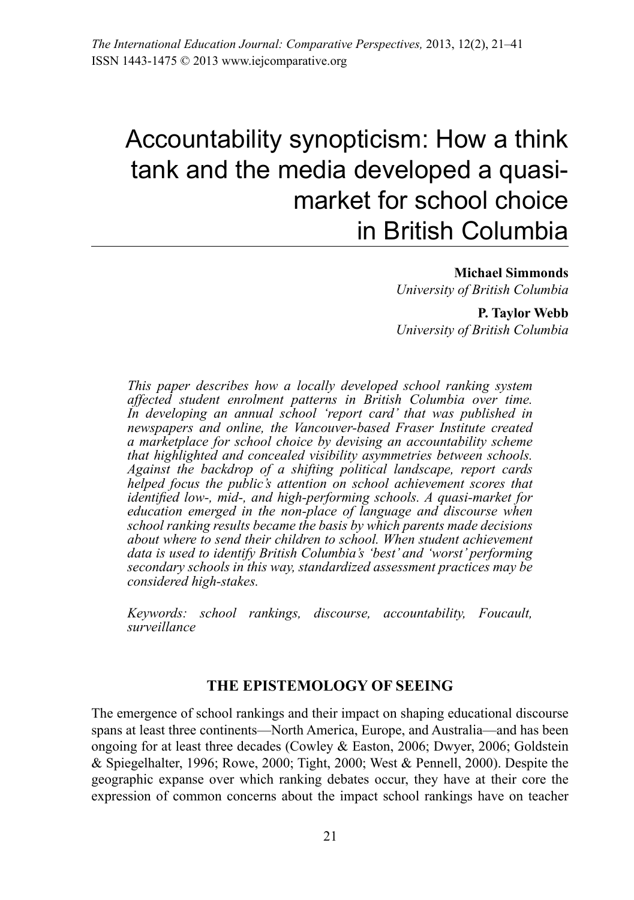# Accountability synopticism: How a think tank and the media developed a quasimarket for school choice in British Columbia

**Michael Simmonds**

*University of British Columbia* 

**P. Taylor Webb** *University of British Columbia* 

*This paper describes how a locally developed school ranking system affected student enrolment patterns in British Columbia over time. In developing an annual school 'report card' that was published in newspapers and online, the Vancouver-based Fraser Institute created a marketplace for school choice by devising an accountability scheme that highlighted and concealed visibility asymmetries between schools. Against the backdrop of a shifting political landscape, report cards helped focus the public's attention on school achievement scores that identified low-, mid-, and high-performing schools. A quasi-market for education emerged in the non-place of language and discourse when school ranking results became the basis by which parents made decisions about where to send their children to school. When student achievement data is used to identify British Columbia's 'best' and 'worst' performing secondary schools in this way, standardized assessment practices may be considered high-stakes.*

*Keywords: school rankings, discourse, accountability, Foucault, surveillance*

#### **THE EPISTEMOLOGY OF SEEING**

The emergence of school rankings and their impact on shaping educational discourse spans at least three continents—North America, Europe, and Australia—and has been ongoing for at least three decades (Cowley & Easton, 2006; Dwyer, 2006; Goldstein & Spiegelhalter, 1996; Rowe, 2000; Tight, 2000; West & Pennell, 2000). Despite the geographic expanse over which ranking debates occur, they have at their core the expression of common concerns about the impact school rankings have on teacher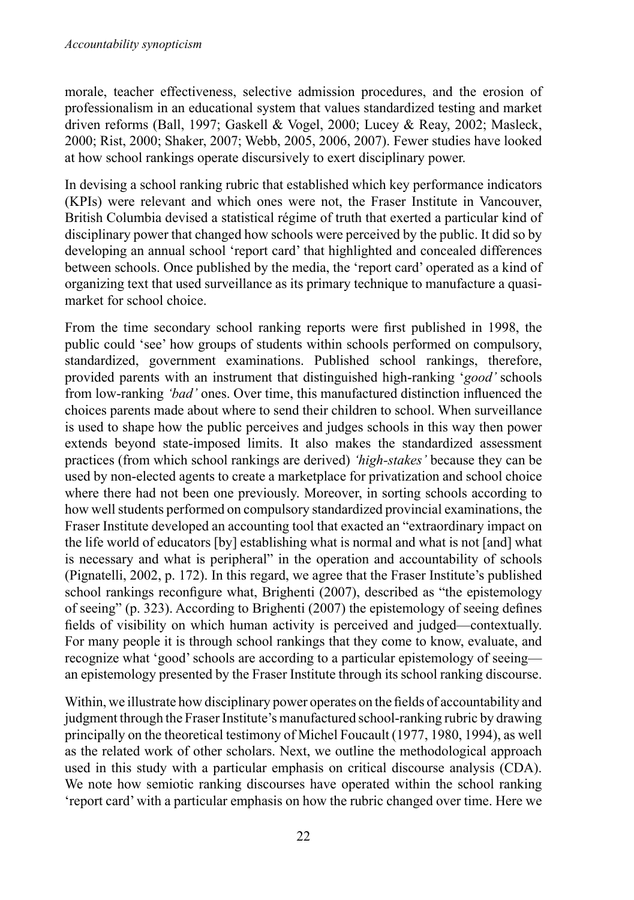morale, teacher effectiveness, selective admission procedures, and the erosion of professionalism in an educational system that values standardized testing and market driven reforms (Ball, 1997; Gaskell & Vogel, 2000; Lucey & Reay, 2002; Masleck, 2000; Rist, 2000; Shaker, 2007; Webb, 2005, 2006, 2007). Fewer studies have looked at how school rankings operate discursively to exert disciplinary power.

In devising a school ranking rubric that established which key performance indicators (KPIs) were relevant and which ones were not, the Fraser Institute in Vancouver, British Columbia devised a statistical régime of truth that exerted a particular kind of disciplinary power that changed how schools were perceived by the public. It did so by developing an annual school 'report card' that highlighted and concealed differences between schools. Once published by the media, the 'report card' operated as a kind of organizing text that used surveillance as its primary technique to manufacture a quasimarket for school choice.

From the time secondary school ranking reports were first published in 1998, the public could 'see' how groups of students within schools performed on compulsory, standardized, government examinations. Published school rankings, therefore, provided parents with an instrument that distinguished high-ranking '*good'* schools from low-ranking *'bad'* ones. Over time, this manufactured distinction influenced the choices parents made about where to send their children to school. When surveillance is used to shape how the public perceives and judges schools in this way then power extends beyond state-imposed limits. It also makes the standardized assessment practices (from which school rankings are derived) *'high-stakes'* because they can be used by non-elected agents to create a marketplace for privatization and school choice where there had not been one previously. Moreover, in sorting schools according to how well students performed on compulsory standardized provincial examinations, the Fraser Institute developed an accounting tool that exacted an "extraordinary impact on the life world of educators [by] establishing what is normal and what is not [and] what is necessary and what is peripheral" in the operation and accountability of schools (Pignatelli, 2002, p. 172). In this regard, we agree that the Fraser Institute's published school rankings reconfigure what, Brighenti (2007), described as "the epistemology of seeing" (p. 323). According to Brighenti (2007) the epistemology of seeing defines fields of visibility on which human activity is perceived and judged—contextually. For many people it is through school rankings that they come to know, evaluate, and recognize what 'good'schools are according to a particular epistemology of seeing an epistemology presented by the Fraser Institute through its school ranking discourse.

Within, we illustrate how disciplinary power operates on the fields of accountability and judgment through the Fraser Institute's manufactured school-ranking rubric by drawing principally on the theoretical testimony of Michel Foucault (1977, 1980, 1994), as well as the related work of other scholars. Next, we outline the methodological approach used in this study with a particular emphasis on critical discourse analysis (CDA). We note how semiotic ranking discourses have operated within the school ranking 'report card' with a particular emphasis on how the rubric changed over time. Here we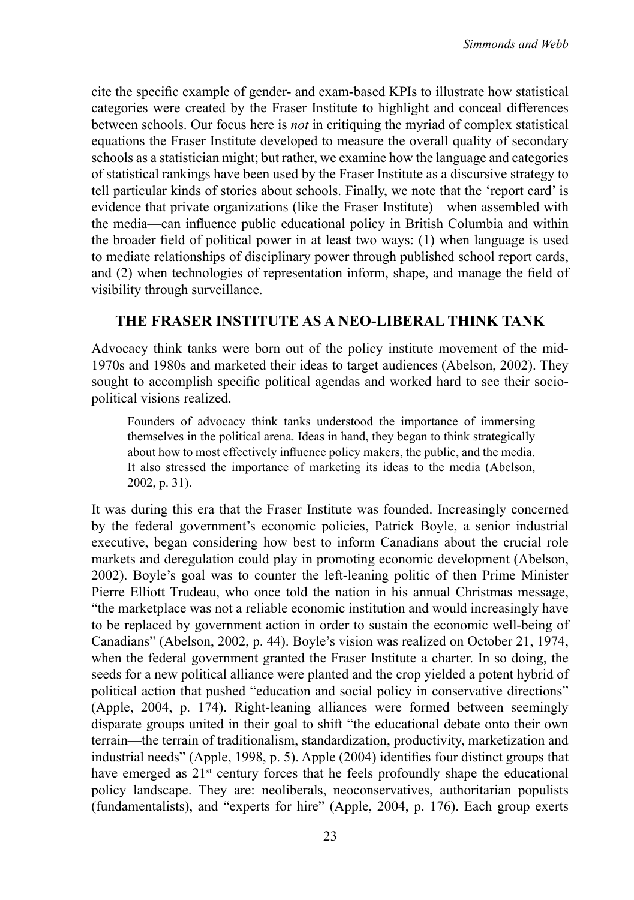cite the specific example of gender- and exam-based KPIs to illustrate how statistical categories were created by the Fraser Institute to highlight and conceal differences between schools. Our focus here is *not* in critiquing the myriad of complex statistical equations the Fraser Institute developed to measure the overall quality of secondary schools as a statistician might; but rather, we examine how the language and categories of statistical rankings have been used by the Fraser Institute as a discursive strategy to tell particular kinds of stories about schools. Finally, we note that the 'report card' is evidence that private organizations (like the Fraser Institute)—when assembled with the media—can influence public educational policy in British Columbia and within the broader field of political power in at least two ways: (1) when language is used to mediate relationships of disciplinary power through published school report cards, and (2) when technologies of representation inform, shape, and manage the field of visibility through surveillance.

## **THE FRASER INSTITUTE AS A NEO-LIBERAL THINK TANK**

Advocacy think tanks were born out of the policy institute movement of the mid-1970s and 1980s and marketed their ideas to target audiences (Abelson, 2002). They sought to accomplish specific political agendas and worked hard to see their sociopolitical visions realized.

Founders of advocacy think tanks understood the importance of immersing themselves in the political arena. Ideas in hand, they began to think strategically about how to most effectively influence policy makers, the public, and the media. It also stressed the importance of marketing its ideas to the media (Abelson, 2002, p. 31).

It was during this era that the Fraser Institute was founded. Increasingly concerned by the federal government's economic policies, Patrick Boyle, a senior industrial executive, began considering how best to inform Canadians about the crucial role markets and deregulation could play in promoting economic development (Abelson, 2002). Boyle's goal was to counter the left-leaning politic of then Prime Minister Pierre Elliott Trudeau, who once told the nation in his annual Christmas message, "the marketplace was not a reliable economic institution and would increasingly have to be replaced by government action in order to sustain the economic well-being of Canadians" (Abelson, 2002, p. 44). Boyle's vision was realized on October 21, 1974, when the federal government granted the Fraser Institute a charter. In so doing, the seeds for a new political alliance were planted and the crop yielded a potent hybrid of political action that pushed "education and social policy in conservative directions" (Apple, 2004, p. 174). Right-leaning alliances were formed between seemingly disparate groups united in their goal to shift "the educational debate onto their own terrain—the terrain of traditionalism, standardization, productivity, marketization and industrial needs" (Apple, 1998, p. 5). Apple (2004) identifies four distinct groups that have emerged as 21<sup>st</sup> century forces that he feels profoundly shape the educational policy landscape. They are: neoliberals, neoconservatives, authoritarian populists (fundamentalists), and "experts for hire" (Apple, 2004, p. 176). Each group exerts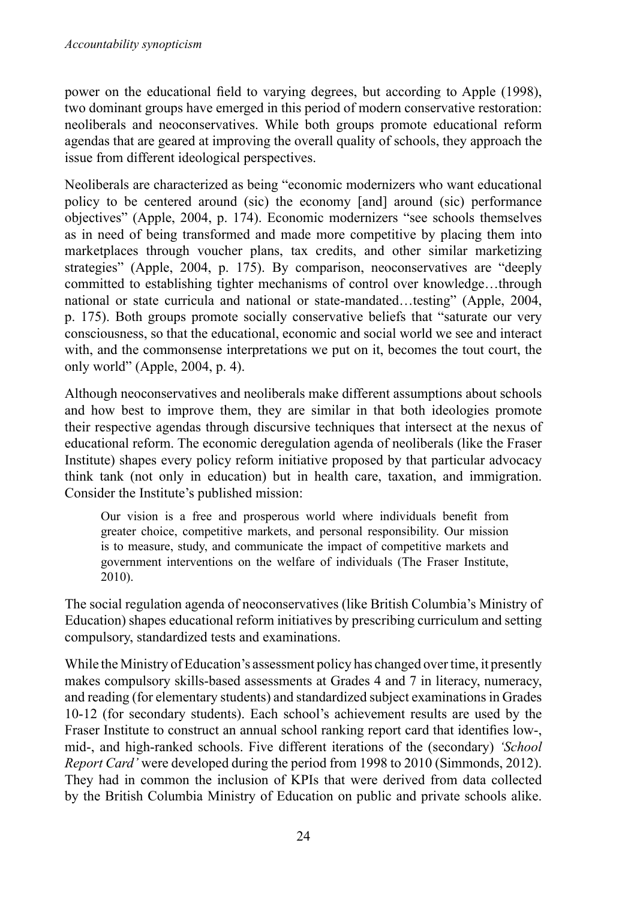power on the educational field to varying degrees, but according to Apple (1998), two dominant groups have emerged in this period of modern conservative restoration: neoliberals and neoconservatives. While both groups promote educational reform agendas that are geared at improving the overall quality of schools, they approach the issue from different ideological perspectives.

Neoliberals are characterized as being "economic modernizers who want educational policy to be centered around (sic) the economy [and] around (sic) performance objectives" (Apple, 2004, p. 174). Economic modernizers "see schools themselves as in need of being transformed and made more competitive by placing them into marketplaces through voucher plans, tax credits, and other similar marketizing strategies" (Apple, 2004, p. 175). By comparison, neoconservatives are "deeply committed to establishing tighter mechanisms of control over knowledge…through national or state curricula and national or state-mandated…testing" (Apple, 2004, p. 175). Both groups promote socially conservative beliefs that "saturate our very consciousness, so that the educational, economic and social world we see and interact with, and the commonsense interpretations we put on it, becomes the tout court, the only world" (Apple, 2004, p. 4).

Although neoconservatives and neoliberals make different assumptions about schools and how best to improve them, they are similar in that both ideologies promote their respective agendas through discursive techniques that intersect at the nexus of educational reform. The economic deregulation agenda of neoliberals (like the Fraser Institute) shapes every policy reform initiative proposed by that particular advocacy think tank (not only in education) but in health care, taxation, and immigration. Consider the Institute's published mission:

Our vision is a free and prosperous world where individuals benefit from greater choice, competitive markets, and personal responsibility. Our mission is to measure, study, and communicate the impact of competitive markets and government interventions on the welfare of individuals (The Fraser Institute, 2010).

The social regulation agenda of neoconservatives (like British Columbia's Ministry of Education) shapes educational reform initiatives by prescribing curriculum and setting compulsory, standardized tests and examinations.

While the Ministry of Education's assessment policy has changed overtime, it presently makes compulsory skills-based assessments at Grades 4 and 7 in literacy, numeracy, and reading (for elementary students) and standardized subject examinationsin Grades 10-12 (for secondary students). Each school's achievement results are used by the Fraser Institute to construct an annual school ranking report card that identifies low-, mid-, and high-ranked schools. Five different iterations of the (secondary) *'School Report Card'* were developed during the period from 1998 to 2010 (Simmonds, 2012). They had in common the inclusion of KPIs that were derived from data collected by the British Columbia Ministry of Education on public and private schools alike.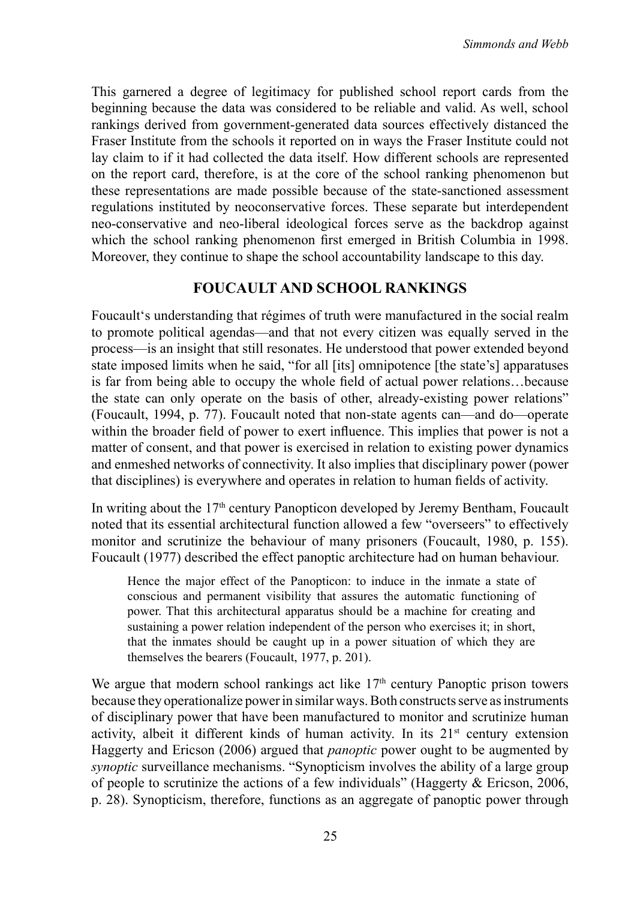This garnered a degree of legitimacy for published school report cards from the beginning because the data was considered to be reliable and valid. As well, school rankings derived from government-generated data sources effectively distanced the Fraser Institute from the schools it reported on in ways the Fraser Institute could not lay claim to if it had collected the data itself. How different schools are represented on the report card, therefore, is at the core of the school ranking phenomenon but these representations are made possible because of the state-sanctioned assessment regulations instituted by neoconservative forces. These separate but interdependent neo-conservative and neo-liberal ideological forces serve as the backdrop against which the school ranking phenomenon first emerged in British Columbia in 1998. Moreover, they continue to shape the school accountability landscape to this day.

### **FOUCAULT AND SCHOOL RANKINGS**

Foucault's understanding that régimes of truth were manufactured in the social realm to promote political agendas—and that not every citizen was equally served in the process—is an insight that still resonates. He understood that power extended beyond state imposed limits when he said, "for all [its] omnipotence [the state's] apparatuses is far from being able to occupy the whole field of actual power relations…because the state can only operate on the basis of other, already-existing power relations" (Foucault, 1994, p. 77). Foucault noted that non-state agents can—and do—operate within the broader field of power to exert influence. This implies that power is not a matter of consent, and that power is exercised in relation to existing power dynamics and enmeshed networks of connectivity. It also implies that disciplinary power (power that disciplines) is everywhere and operates in relation to human fields of activity.

In writing about the  $17<sup>th</sup>$  century Panopticon developed by Jeremy Bentham, Foucault noted that its essential architectural function allowed a few "overseers" to effectively monitor and scrutinize the behaviour of many prisoners (Foucault, 1980, p. 155). Foucault (1977) described the effect panoptic architecture had on human behaviour.

Hence the major effect of the Panopticon: to induce in the inmate a state of conscious and permanent visibility that assures the automatic functioning of power. That this architectural apparatus should be a machine for creating and sustaining a power relation independent of the person who exercises it; in short, that the inmates should be caught up in a power situation of which they are themselves the bearers (Foucault, 1977, p. 201).

We argue that modern school rankings act like  $17<sup>th</sup>$  century Panoptic prison towers because they operationalize power in similar ways. Both constructs serve as instruments of disciplinary power that have been manufactured to monitor and scrutinize human activity, albeit it different kinds of human activity. In its  $21<sup>st</sup>$  century extension Haggerty and Ericson (2006) argued that *panoptic* power ought to be augmented by *synoptic* surveillance mechanisms. "Synopticism involves the ability of a large group of people to scrutinize the actions of a few individuals" (Haggerty  $\&$  Ericson, 2006, p. 28). Synopticism, therefore, functions as an aggregate of panoptic power through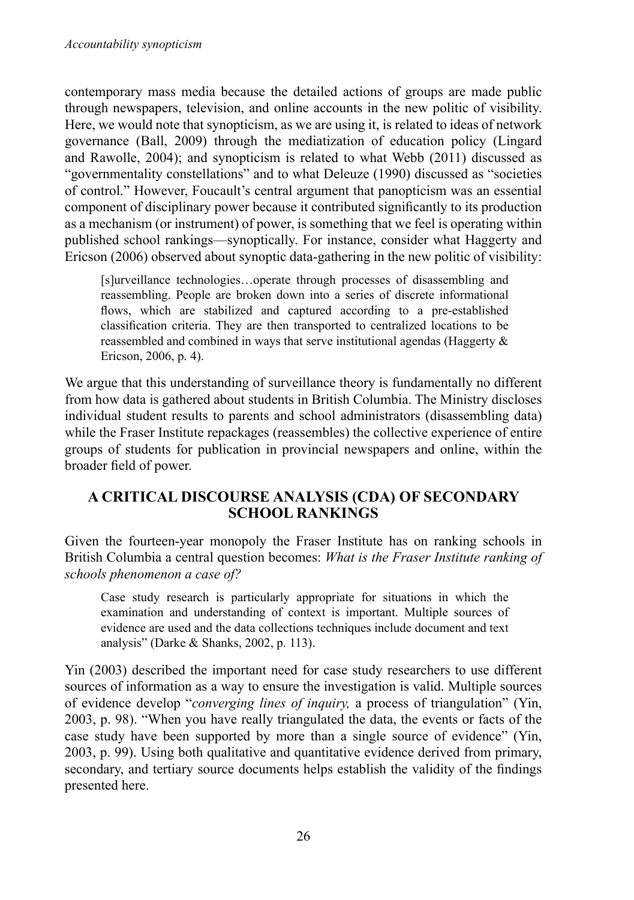contemporary mass media because the detailed actions of groups are made public through newspapers, television, and online accounts in the new politic of visibility. Here, we would note that synopticism, as we are using it, is related to ideas of network governance (Ball, 2009) through the mediatization of education policy (Lingard and Rawolle, 2004); and synopticism is related to what Webb (2011) discussed as "governmentality constellations" and to what Deleuze (1990) discussed as "societies of control." However, Foucault's central argument that panopticism was an essential component of disciplinary power because it contributed significantly to its production as a mechanism (or instrument) of power, is something that we feel is operating within published school rankings—synoptically. For instance, consider what Haggerty and Ericson (2006) observed about synoptic data-gathering in the new politic of visibility:

[s]urveillance technologies…operate through processes of disassembling and reassembling. People are broken down into a series of discrete informational flows, which are stabilized and captured according to a pre-established classification criteria. They are then transported to centralized locations to be reassembled and combined in ways that serve institutional agendas (Haggerty & Ericson, 2006, p. 4).

We argue that this understanding of surveillance theory is fundamentally no different from how data is gathered about students in British Columbia. The Ministry discloses individual student results to parents and school administrators (disassembling data) while the Fraser Institute repackages (reassembles) the collective experience of entire groups of students for publication in provincial newspapers and online, within the broader field of power.

## **A CRITICAL DISCOURSE ANALYSIS (CDA) OF SECONDARY SCHOOL RANKINGS**

Given the fourteen-year monopoly the Fraser Institute has on ranking schools in British Columbia a central question becomes: *What is the Fraser Institute ranking of schools phenomenon a case of?*

Case study research is particularly appropriate for situations in which the examination and understanding of context is important. Multiple sources of evidence are used and the data collections techniques include document and text analysis" (Darke & Shanks, 2002, p. 113).

Yin (2003) described the important need for case study researchers to use different sources of information as a way to ensure the investigation is valid. Multiple sources of evidence develop "*converging lines of inquiry,* a process of triangulation" (Yin, 2003, p. 98). "When you have really triangulated the data, the events or facts of the case study have been supported by more than a single source of evidence" (Yin, 2003, p. 99). Using both qualitative and quantitative evidence derived from primary, secondary, and tertiary source documents helps establish the validity of the findings presented here.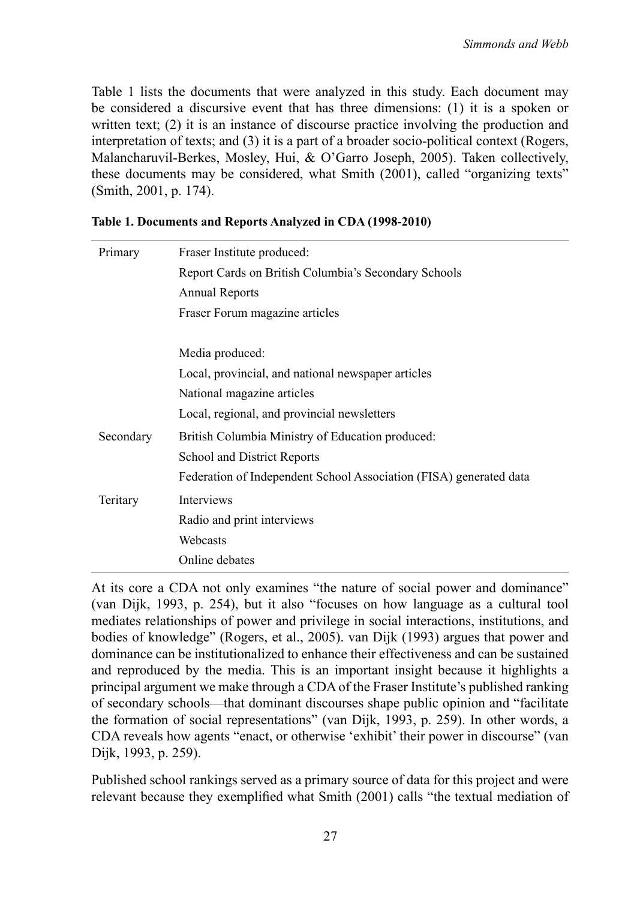Table 1 lists the documents that were analyzed in this study. Each document may be considered a discursive event that has three dimensions: (1) it is a spoken or written text; (2) it is an instance of discourse practice involving the production and interpretation of texts; and (3) it is a part of a broader socio-political context (Rogers, Malancharuvil-Berkes, Mosley, Hui, & O'Garro Joseph, 2005). Taken collectively, these documents may be considered, what Smith (2001), called "organizing texts" (Smith, 2001, p. 174).

| Primary   | Fraser Institute produced:                                         |
|-----------|--------------------------------------------------------------------|
|           | Report Cards on British Columbia's Secondary Schools               |
|           | <b>Annual Reports</b>                                              |
|           | Fraser Forum magazine articles                                     |
|           |                                                                    |
|           | Media produced:                                                    |
|           | Local, provincial, and national newspaper articles                 |
|           | National magazine articles                                         |
|           | Local, regional, and provincial newsletters                        |
| Secondary | British Columbia Ministry of Education produced:                   |
|           | School and District Reports                                        |
|           | Federation of Independent School Association (FISA) generated data |
| Teritary  | Interviews                                                         |
|           | Radio and print interviews                                         |
|           | Webcasts                                                           |
|           | Online debates                                                     |

#### **Table 1. Documents and Reports Analyzed in CDA (1998-2010)**

At its core a CDA not only examines "the nature of social power and dominance" (van Dijk, 1993, p. 254), but it also "focuses on how language as a cultural tool mediates relationships of power and privilege in social interactions, institutions, and bodies of knowledge" (Rogers, et al., 2005). van Dijk (1993) argues that power and dominance can be institutionalized to enhance their effectiveness and can be sustained and reproduced by the media. This is an important insight because it highlights a principal argument we make through a CDA of the Fraser Institute's published ranking of secondary schools—that dominant discourses shape public opinion and "facilitate the formation of social representations" (van Dijk, 1993, p. 259). In other words, a CDA reveals how agents "enact, or otherwise 'exhibit' their power in discourse" (van Dijk, 1993, p. 259).

Published school rankings served as a primary source of data for this project and were relevant because they exemplified what Smith (2001) calls "the textual mediation of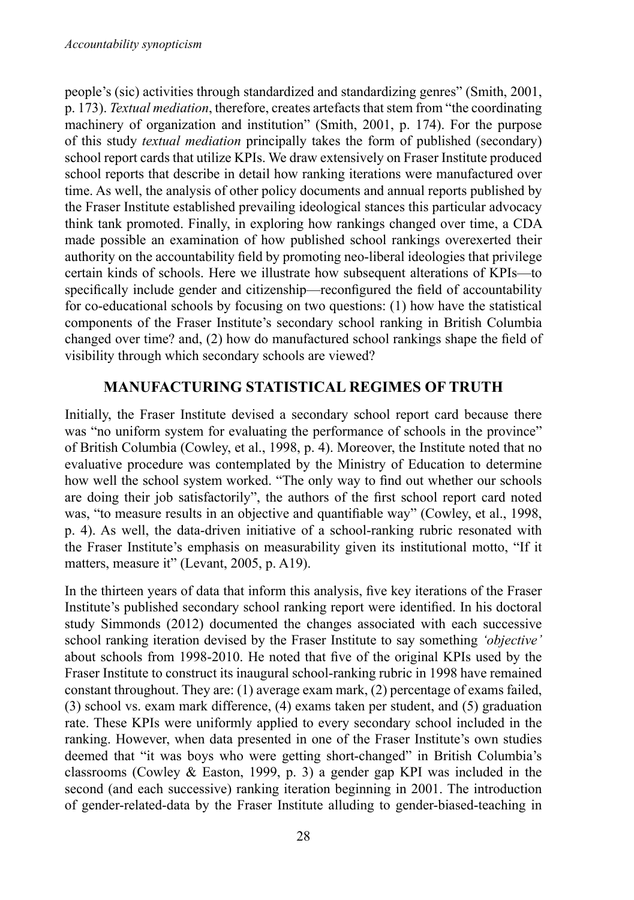people's (sic) activities through standardized and standardizing genres" (Smith, 2001, p. 173). *Textual mediation*, therefore, creates artefactsthatstem from "the coordinating machinery of organization and institution" (Smith, 2001, p. 174). For the purpose of this study *textual mediation* principally takes the form of published (secondary) school report cards that utilize KPIs. We draw extensively on Fraser Institute produced school reports that describe in detail how ranking iterations were manufactured over time. As well, the analysis of other policy documents and annual reports published by the Fraser Institute established prevailing ideological stances this particular advocacy think tank promoted. Finally, in exploring how rankings changed over time, a CDA made possible an examination of how published school rankings overexerted their authority on the accountability field by promoting neo-liberal ideologies that privilege certain kinds of schools. Here we illustrate how subsequent alterations of KPIs—to specifically include gender and citizenship—reconfigured the field of accountability for co-educational schools by focusing on two questions: (1) how have the statistical components of the Fraser Institute's secondary school ranking in British Columbia changed over time? and, (2) how do manufactured school rankings shape the field of visibility through which secondary schools are viewed?

# **MANUFACTURING STATISTICAL REGIMES OF TRUTH**

Initially, the Fraser Institute devised a secondary school report card because there was "no uniform system for evaluating the performance of schools in the province" of British Columbia (Cowley, et al., 1998, p. 4). Moreover, the Institute noted that no evaluative procedure was contemplated by the Ministry of Education to determine how well the school system worked. "The only way to find out whether our schools are doing their job satisfactorily", the authors of the first school report card noted was, "to measure results in an objective and quantifiable way" (Cowley, et al., 1998, p. 4). As well, the data-driven initiative of a school-ranking rubric resonated with the Fraser Institute's emphasis on measurability given its institutional motto, "If it matters, measure it" (Levant, 2005, p. A19).

In the thirteen years of data that inform this analysis, five key iterations of the Fraser Institute's published secondary school ranking report were identified. In his doctoral study Simmonds (2012) documented the changes associated with each successive school ranking iteration devised by the Fraser Institute to say something *'objective'* about schools from 1998-2010. He noted that five of the original KPIs used by the Fraser Institute to construct its inaugural school-ranking rubric in 1998 have remained constant throughout. They are: (1) average exam mark, (2) percentage of exams failed, (3) school vs. exam mark difference, (4) exams taken per student, and (5) graduation rate. These KPIs were uniformly applied to every secondary school included in the ranking. However, when data presented in one of the Fraser Institute's own studies deemed that "it was boys who were getting short-changed" in British Columbia's classrooms (Cowley & Easton, 1999, p. 3) a gender gap KPI was included in the second (and each successive) ranking iteration beginning in 2001. The introduction of gender-related-data by the Fraser Institute alluding to gender-biased-teaching in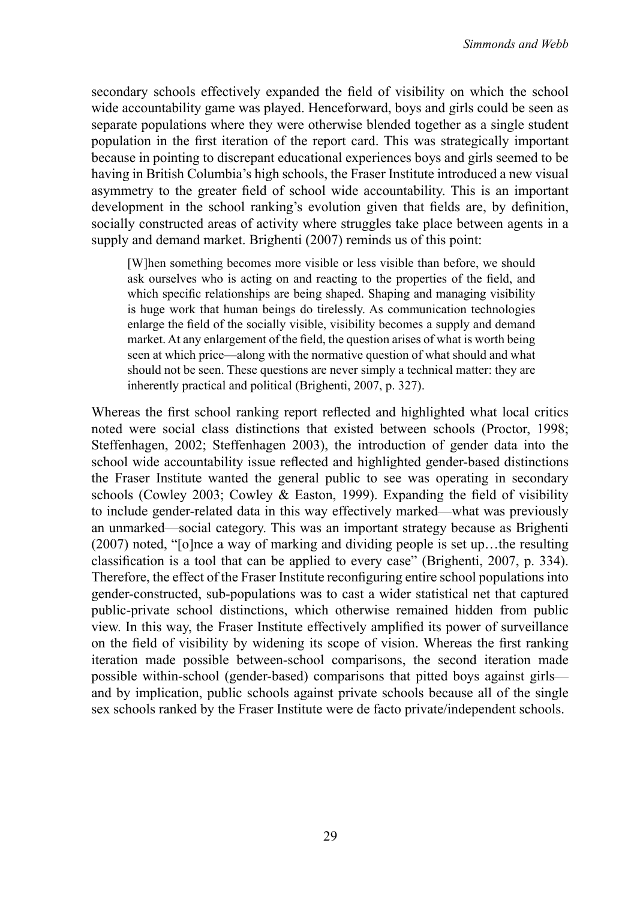secondary schools effectively expanded the field of visibility on which the school wide accountability game was played. Henceforward, boys and girls could be seen as separate populations where they were otherwise blended together as a single student population in the first iteration of the report card. This was strategically important because in pointing to discrepant educational experiences boys and girls seemed to be having in British Columbia's high schools, the Fraser Institute introduced a new visual asymmetry to the greater field of school wide accountability. This is an important development in the school ranking's evolution given that fields are, by definition, socially constructed areas of activity where struggles take place between agents in a supply and demand market. Brighenti (2007) reminds us of this point:

[W]hen something becomes more visible or less visible than before, we should ask ourselves who is acting on and reacting to the properties of the field, and which specific relationships are being shaped. Shaping and managing visibility is huge work that human beings do tirelessly. As communication technologies enlarge the field of the socially visible, visibility becomes a supply and demand market. At any enlargement of the field, the question arises of what is worth being seen at which price—along with the normative question of what should and what should not be seen. These questions are never simply a technical matter: they are inherently practical and political (Brighenti, 2007, p. 327).

Whereas the first school ranking report reflected and highlighted what local critics noted were social class distinctions that existed between schools (Proctor, 1998; Steffenhagen, 2002; Steffenhagen 2003), the introduction of gender data into the school wide accountability issue reflected and highlighted gender-based distinctions the Fraser Institute wanted the general public to see was operating in secondary schools (Cowley 2003; Cowley & Easton, 1999). Expanding the field of visibility to include gender-related data in this way effectively marked—what was previously an unmarked—social category. This was an important strategy because as Brighenti (2007) noted, "[o]nce a way of marking and dividing people is set up…the resulting classification is a tool that can be applied to every case" (Brighenti, 2007, p. 334). Therefore, the effect of the Fraser Institute reconfiguring entire school populations into gender-constructed, sub-populations was to cast a wider statistical net that captured public-private school distinctions, which otherwise remained hidden from public view. In this way, the Fraser Institute effectively amplified its power of surveillance on the field of visibility by widening its scope of vision. Whereas the first ranking iteration made possible between-school comparisons, the second iteration made possible within-school (gender-based) comparisons that pitted boys against girls and by implication, public schools against private schools because all of the single sex schools ranked by the Fraser Institute were de facto private/independent schools.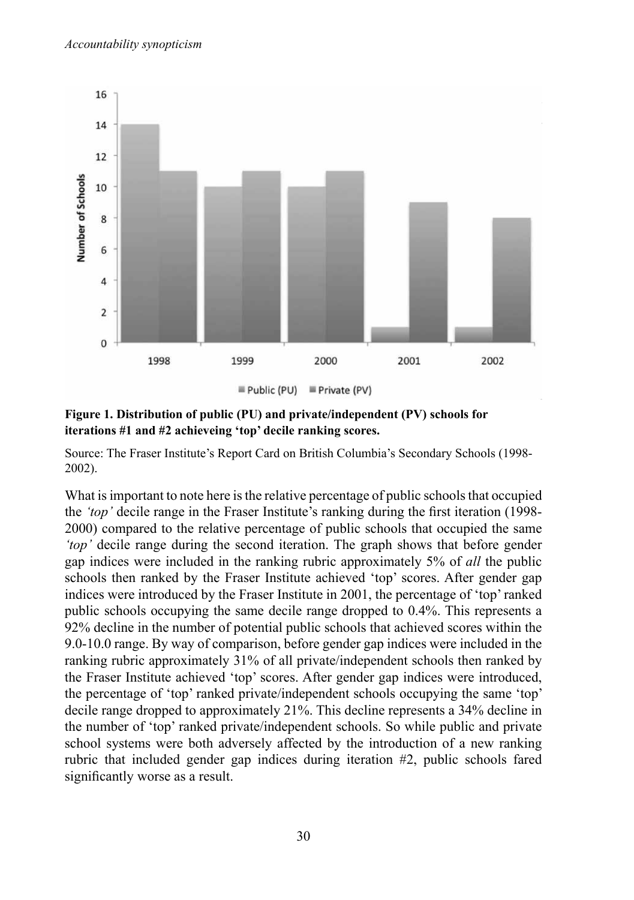

**Figure 1. Distribution of public (PU) and private/independent (PV) schools for iterations #1 and #2 achieveing 'top' decile ranking scores.** 

Source: The Fraser Institute's Report Card on British Columbia's Secondary Schools (1998- 2002).

What is important to note here is the relative percentage of public schools that occupied the *'top'* decile range in the Fraser Institute's ranking during the first iteration (1998- 2000) compared to the relative percentage of public schools that occupied the same *'top'* decile range during the second iteration. The graph shows that before gender gap indices were included in the ranking rubric approximately 5% of *all* the public schools then ranked by the Fraser Institute achieved 'top' scores. After gender gap indices were introduced by the Fraser Institute in 2001, the percentage of 'top'ranked public schools occupying the same decile range dropped to 0.4%. This represents a 92% decline in the number of potential public schools that achieved scores within the 9.0-10.0 range. By way of comparison, before gender gap indices were included in the ranking rubric approximately 31% of all private/independent schools then ranked by the Fraser Institute achieved 'top' scores. After gender gap indices were introduced, the percentage of 'top' ranked private/independent schools occupying the same 'top' decile range dropped to approximately 21%. This decline represents a 34% decline in the number of 'top' ranked private/independent schools. So while public and private school systems were both adversely affected by the introduction of a new ranking rubric that included gender gap indices during iteration #2, public schools fared significantly worse as a result.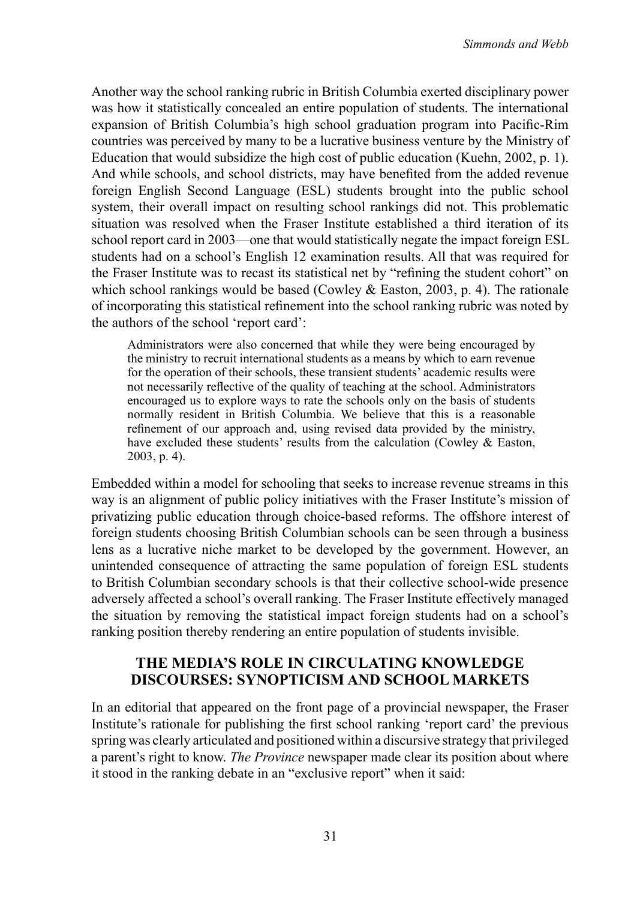Another way the school ranking rubric in British Columbia exerted disciplinary power was how it statistically concealed an entire population of students. The international expansion of British Columbia's high school graduation program into Pacific-Rim countries was perceived by many to be a lucrative business venture by the Ministry of Education that would subsidize the high cost of public education (Kuehn, 2002, p. 1). And while schools, and school districts, may have benefited from the added revenue foreign English Second Language (ESL) students brought into the public school system, their overall impact on resulting school rankings did not. This problematic situation was resolved when the Fraser Institute established a third iteration of its school report card in 2003—one that would statistically negate the impact foreign ESL students had on a school's English 12 examination results. All that was required for the Fraser Institute was to recast its statistical net by "refining the student cohort" on which school rankings would be based (Cowley & Easton, 2003, p. 4). The rationale of incorporating this statistical refinement into the school ranking rubric was noted by the authors of the school 'report card':

Administrators were also concerned that while they were being encouraged by the ministry to recruit international students as a means by which to earn revenue for the operation of their schools, these transient students' academic results were not necessarily reflective of the quality of teaching at the school. Administrators encouraged us to explore ways to rate the schools only on the basis of students normally resident in British Columbia. We believe that this is a reasonable refinement of our approach and, using revised data provided by the ministry, have excluded these students' results from the calculation (Cowley & Easton, 2003, p. 4).

Embedded within a model for schooling that seeks to increase revenue streams in this way is an alignment of public policy initiatives with the Fraser Institute's mission of privatizing public education through choice-based reforms. The offshore interest of foreign students choosing British Columbian schools can be seen through a business lens as a lucrative niche market to be developed by the government. However, an unintended consequence of attracting the same population of foreign ESL students to British Columbian secondary schools is that their collective school-wide presence adversely affected a school's overall ranking. The Fraser Institute effectively managed the situation by removing the statistical impact foreign students had on a school's ranking position thereby rendering an entire population of students invisible.

#### **THE MEDIA'S ROLE IN CIRCULATING KNOWLEDGE DISCOURSES: SYNOPTICISM AND SCHOOL MARKETS**

In an editorial that appeared on the front page of a provincial newspaper, the Fraser Institute's rationale for publishing the first school ranking 'report card' the previous spring was clearly articulated and positioned within a discursive strategy that privileged a parent's right to know. *The Province* newspaper made clear its position about where it stood in the ranking debate in an "exclusive report" when it said: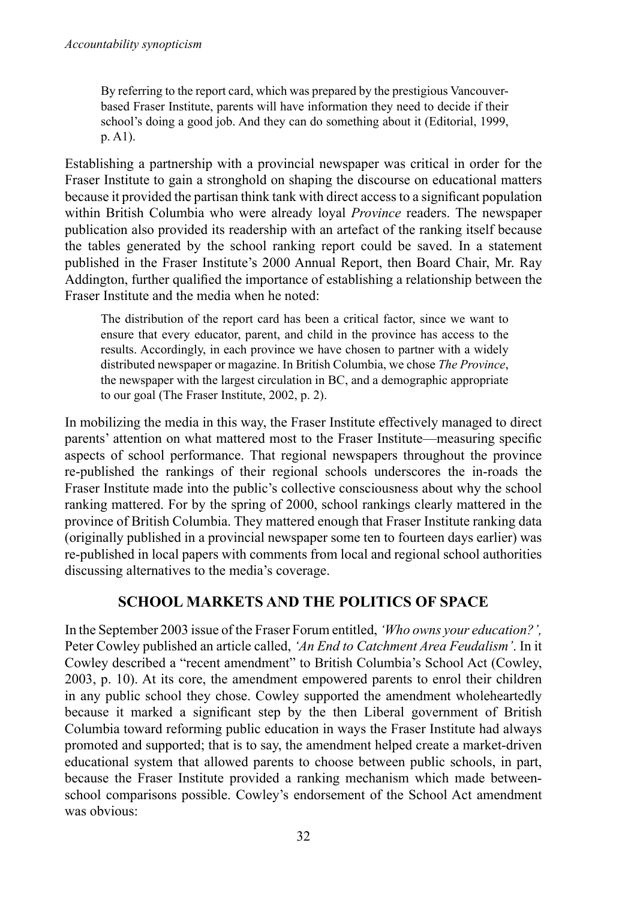By referring to the report card, which was prepared by the prestigious Vancouverbased Fraser Institute, parents will have information they need to decide if their school's doing a good job. And they can do something about it (Editorial, 1999, p. A1).

Establishing a partnership with a provincial newspaper was critical in order for the Fraser Institute to gain a stronghold on shaping the discourse on educational matters because it provided the partisan think tank with direct accessto a significant population within British Columbia who were already loyal *Province* readers. The newspaper publication also provided its readership with an artefact of the ranking itself because the tables generated by the school ranking report could be saved. In a statement published in the Fraser Institute's 2000 Annual Report, then Board Chair, Mr. Ray Addington, further qualified the importance of establishing a relationship between the Fraser Institute and the media when he noted:

The distribution of the report card has been a critical factor, since we want to ensure that every educator, parent, and child in the province has access to the results. Accordingly, in each province we have chosen to partner with a widely distributed newspaper or magazine. In British Columbia, we chose *The Province*, the newspaper with the largest circulation in BC, and a demographic appropriate to our goal (The Fraser Institute, 2002, p. 2).

In mobilizing the media in this way, the Fraser Institute effectively managed to direct parents' attention on what mattered most to the Fraser Institute—measuring specific aspects of school performance. That regional newspapers throughout the province re-published the rankings of their regional schools underscores the in-roads the Fraser Institute made into the public's collective consciousness about why the school ranking mattered. For by the spring of 2000, school rankings clearly mattered in the province of British Columbia. They mattered enough that Fraser Institute ranking data (originally published in a provincial newspaper some ten to fourteen days earlier) was re-published in local papers with comments from local and regional school authorities discussing alternatives to the media's coverage.

## **School Markets and the Politics of Space**

In the September 2003 issue of the Fraser Forum entitled, *'Who owns your education?',*  Peter Cowley published an article called, *'An End to Catchment Area Feudalism'*. In it Cowley described a "recent amendment" to British Columbia's School Act (Cowley, 2003, p. 10). At its core, the amendment empowered parents to enrol their children in any public school they chose. Cowley supported the amendment wholeheartedly because it marked a significant step by the then Liberal government of British Columbia toward reforming public education in ways the Fraser Institute had always promoted and supported; that is to say, the amendment helped create a market-driven educational system that allowed parents to choose between public schools, in part, because the Fraser Institute provided a ranking mechanism which made betweenschool comparisons possible. Cowley's endorsement of the School Act amendment was obvious: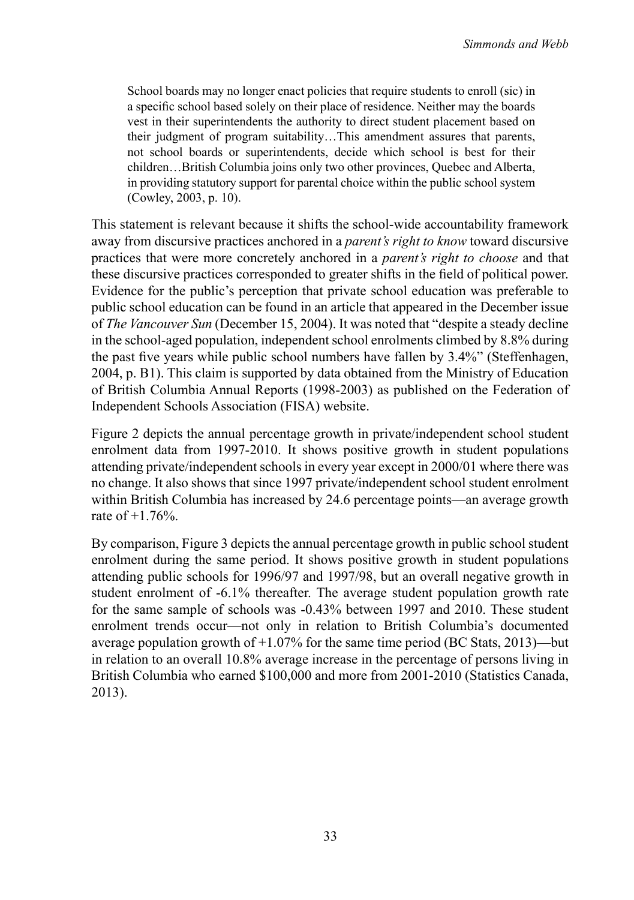School boards may no longer enact policies that require students to enroll (sic) in a specific school based solely on their place of residence. Neither may the boards vest in their superintendents the authority to direct student placement based on their judgment of program suitability…This amendment assures that parents, not school boards or superintendents, decide which school is best for their children…British Columbia joins only two other provinces, Quebec and Alberta, in providing statutory support for parental choice within the public school system (Cowley, 2003, p. 10).

This statement is relevant because it shifts the school-wide accountability framework away from discursive practices anchored in a *parent's right to know* toward discursive practices that were more concretely anchored in a *parent's right to choose* and that these discursive practices corresponded to greater shifts in the field of political power. Evidence for the public's perception that private school education was preferable to public school education can be found in an article that appeared in the December issue of *The Vancouver Sun* (December 15, 2004). It was noted that "despite a steady decline in the school-aged population, independent school enrolments climbed by 8.8% during the past five years while public school numbers have fallen by 3.4%" (Steffenhagen, 2004, p. B1). This claim is supported by data obtained from the Ministry of Education of British Columbia Annual Reports (1998-2003) as published on the Federation of Independent Schools Association (FISA) website.

Figure 2 depicts the annual percentage growth in private/independent school student enrolment data from 1997-2010. It shows positive growth in student populations attending private/independent schools in every year except in 2000/01 where there was no change. It also shows that since 1997 private/independent school student enrolment within British Columbia has increased by 24.6 percentage points—an average growth rate of +1.76%.

By comparison, Figure 3 depicts the annual percentage growth in public school student enrolment during the same period. It shows positive growth in student populations attending public schools for 1996/97 and 1997/98, but an overall negative growth in student enrolment of -6.1% thereafter. The average student population growth rate for the same sample of schools was -0.43% between 1997 and 2010. These student enrolment trends occur—not only in relation to British Columbia's documented average population growth of +1.07% for the same time period (BC Stats, 2013)—but in relation to an overall 10.8% average increase in the percentage of persons living in British Columbia who earned \$100,000 and more from 2001-2010 (Statistics Canada, 2013).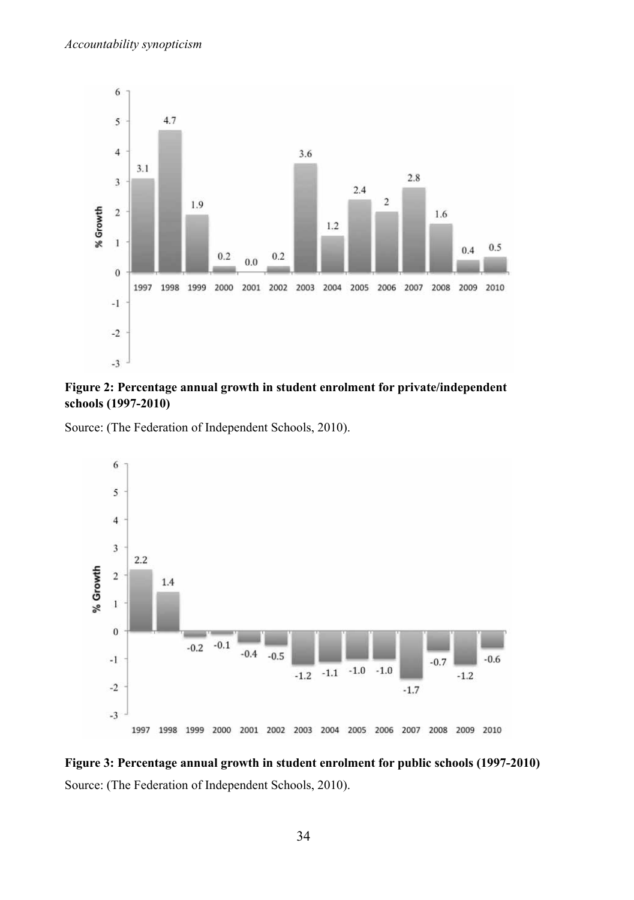

#### **Figure 2: Percentage annual growth in student enrolment for private/independent schools (1997-2010)**

Source: (The Federation of Independent Schools, 2010).



**Figure 3: Percentage annual growth in student enrolment for public schools (1997-2010)** Source: (The Federation of Independent Schools, 2010).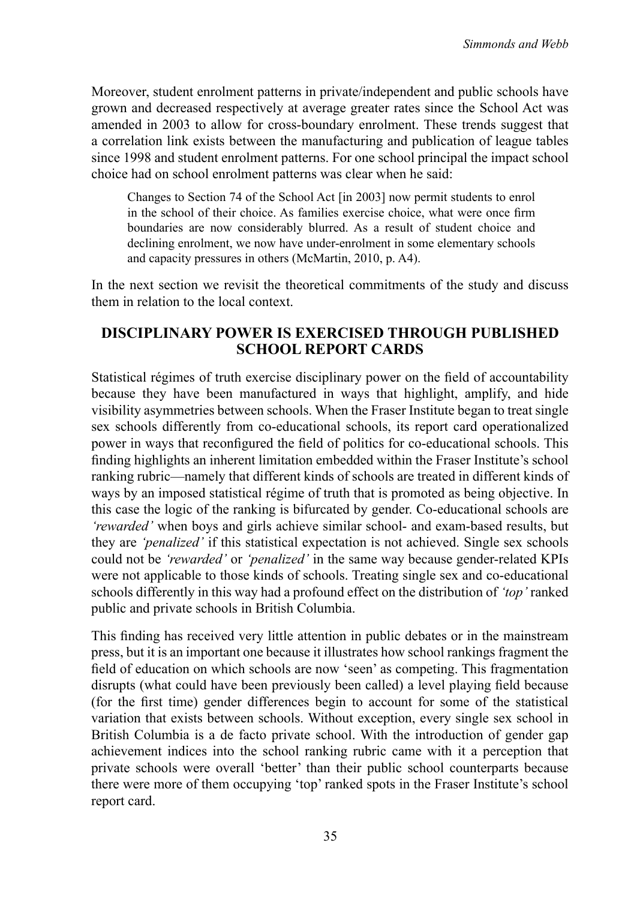Moreover, student enrolment patterns in private/independent and public schools have grown and decreased respectively at average greater rates since the School Act was amended in 2003 to allow for cross-boundary enrolment. These trends suggest that a correlation link exists between the manufacturing and publication of league tables since 1998 and student enrolment patterns. For one school principal the impact school choice had on school enrolment patterns was clear when he said:

Changes to Section 74 of the School Act [in 2003] now permit students to enrol in the school of their choice. As families exercise choice, what were once firm boundaries are now considerably blurred. As a result of student choice and declining enrolment, we now have under-enrolment in some elementary schools and capacity pressures in others (McMartin, 2010, p. A4).

In the next section we revisit the theoretical commitments of the study and discuss them in relation to the local context.

## **Disciplinary Power is Exercised Through Published School Report Cards**

Statistical régimes of truth exercise disciplinary power on the field of accountability because they have been manufactured in ways that highlight, amplify, and hide visibility asymmetries between schools. When the Fraser Institute began to treat single sex schools differently from co-educational schools, its report card operationalized power in ways that reconfigured the field of politics for co-educational schools. This finding highlights an inherent limitation embedded within the Fraser Institute's school ranking rubric—namely that different kinds of schools are treated in different kinds of ways by an imposed statistical régime of truth that is promoted as being objective. In this case the logic of the ranking is bifurcated by gender. Co-educational schools are *'rewarded'* when boys and girls achieve similar school- and exam-based results, but they are *'penalized'* if this statistical expectation is not achieved. Single sex schools could not be *'rewarded'* or *'penalized'* in the same way because gender-related KPIs were not applicable to those kinds of schools. Treating single sex and co-educational schools differently in this way had a profound effect on the distribution of *'top'* ranked public and private schools in British Columbia.

This finding has received very little attention in public debates or in the mainstream press, but it is an important one because it illustrates how school rankings fragment the field of education on which schools are now 'seen' as competing. This fragmentation disrupts (what could have been previously been called) a level playing field because (for the first time) gender differences begin to account for some of the statistical variation that exists between schools. Without exception, every single sex school in British Columbia is a de facto private school. With the introduction of gender gap achievement indices into the school ranking rubric came with it a perception that private schools were overall 'better' than their public school counterparts because there were more of them occupying 'top' ranked spots in the Fraser Institute's school report card.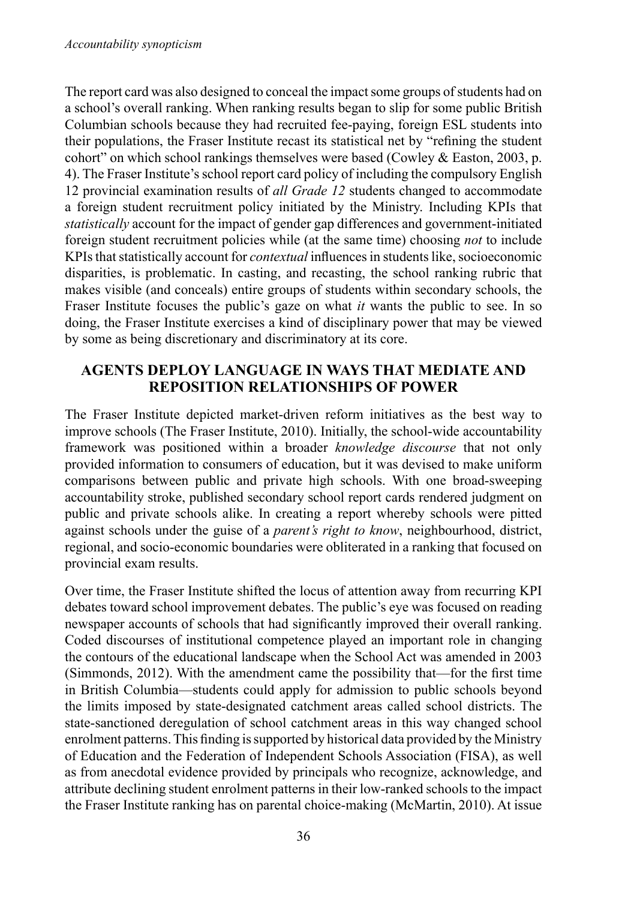The report card was also designed to conceal the impact some groups of students had on a school's overall ranking. When ranking results began to slip for some public British Columbian schools because they had recruited fee-paying, foreign ESL students into their populations, the Fraser Institute recast its statistical net by "refining the student cohort" on which school rankings themselves were based (Cowley & Easton, 2003, p. 4). The Fraser Institute'sschool report card policy of including the compulsory English 12 provincial examination results of *all Grade 12* students changed to accommodate a foreign student recruitment policy initiated by the Ministry. Including KPIs that *statistically* account for the impact of gender gap differences and government-initiated foreign student recruitment policies while (at the same time) choosing *not* to include KPIs that statistically account for *contextual* influences in students like, socioeconomic disparities, is problematic. In casting, and recasting, the school ranking rubric that makes visible (and conceals) entire groups of students within secondary schools, the Fraser Institute focuses the public's gaze on what *it* wants the public to see. In so doing, the Fraser Institute exercises a kind of disciplinary power that may be viewed by some as being discretionary and discriminatory at its core.

## **Agents Deploy Language in Ways that Mediate and Reposition Relationships of Power**

The Fraser Institute depicted market-driven reform initiatives as the best way to improve schools (The Fraser Institute, 2010). Initially, the school-wide accountability framework was positioned within a broader *knowledge discourse* that not only provided information to consumers of education, but it was devised to make uniform comparisons between public and private high schools. With one broad-sweeping accountability stroke, published secondary school report cards rendered judgment on public and private schools alike. In creating a report whereby schools were pitted against schools under the guise of a *parent's right to know*, neighbourhood, district, regional, and socio-economic boundaries were obliterated in a ranking that focused on provincial exam results.

Over time, the Fraser Institute shifted the locus of attention away from recurring KPI debates toward school improvement debates. The public's eye was focused on reading newspaper accounts of schools that had significantly improved their overall ranking. Coded discourses of institutional competence played an important role in changing the contours of the educational landscape when the School Act was amended in 2003 (Simmonds, 2012). With the amendment came the possibility that—for the first time in British Columbia—students could apply for admission to public schools beyond the limits imposed by state-designated catchment areas called school districts. The state-sanctioned deregulation of school catchment areas in this way changed school enrolment patterns.This finding issupported by historical data provided by the Ministry of Education and the Federation of Independent Schools Association (FISA), as well as from anecdotal evidence provided by principals who recognize, acknowledge, and attribute declining student enrolment patternsin their low-ranked schoolsto the impact the Fraser Institute ranking has on parental choice-making (McMartin, 2010). At issue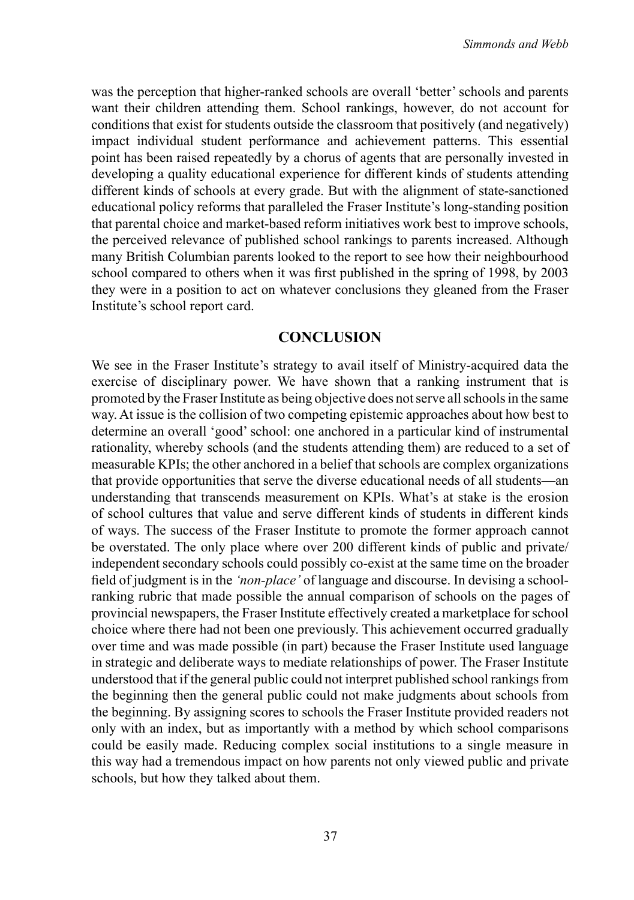was the perception that higher-ranked schools are overall 'better'schools and parents want their children attending them. School rankings, however, do not account for conditions that exist for students outside the classroom that positively (and negatively) impact individual student performance and achievement patterns. This essential point has been raised repeatedly by a chorus of agents that are personally invested in developing a quality educational experience for different kinds of students attending different kinds of schools at every grade. But with the alignment of state-sanctioned educational policy reforms that paralleled the Fraser Institute's long-standing position that parental choice and market-based reform initiatives work best to improve schools, the perceived relevance of published school rankings to parents increased. Although many British Columbian parents looked to the report to see how their neighbourhood school compared to others when it was first published in the spring of 1998, by 2003 they were in a position to act on whatever conclusions they gleaned from the Fraser Institute's school report card.

#### **CONCLUSION**

We see in the Fraser Institute's strategy to avail itself of Ministry-acquired data the exercise of disciplinary power. We have shown that a ranking instrument that is promoted by the Fraser Institute as being objective does notserve allschoolsin the same way. At issue is the collision of two competing epistemic approaches about how best to determine an overall 'good'school: one anchored in a particular kind of instrumental rationality, whereby schools (and the students attending them) are reduced to a set of measurable KPIs; the other anchored in a belief that schools are complex organizations that provide opportunities that serve the diverse educational needs of all students—an understanding that transcends measurement on KPIs. What's at stake is the erosion of school cultures that value and serve different kinds of students in different kinds of ways. The success of the Fraser Institute to promote the former approach cannot be overstated. The only place where over 200 different kinds of public and private/ independent secondary schools could possibly co-exist at the same time on the broader field of judgment is in the *'non-place'* of language and discourse. In devising a schoolranking rubric that made possible the annual comparison of schools on the pages of provincial newspapers, the Fraser Institute effectively created a marketplace for school choice where there had not been one previously. This achievement occurred gradually over time and was made possible (in part) because the Fraser Institute used language in strategic and deliberate ways to mediate relationships of power. The Fraser Institute understood that if the general public could not interpret published school rankings from the beginning then the general public could not make judgments about schools from the beginning. By assigning scores to schools the Fraser Institute provided readers not only with an index, but as importantly with a method by which school comparisons could be easily made. Reducing complex social institutions to a single measure in this way had a tremendous impact on how parents not only viewed public and private schools, but how they talked about them.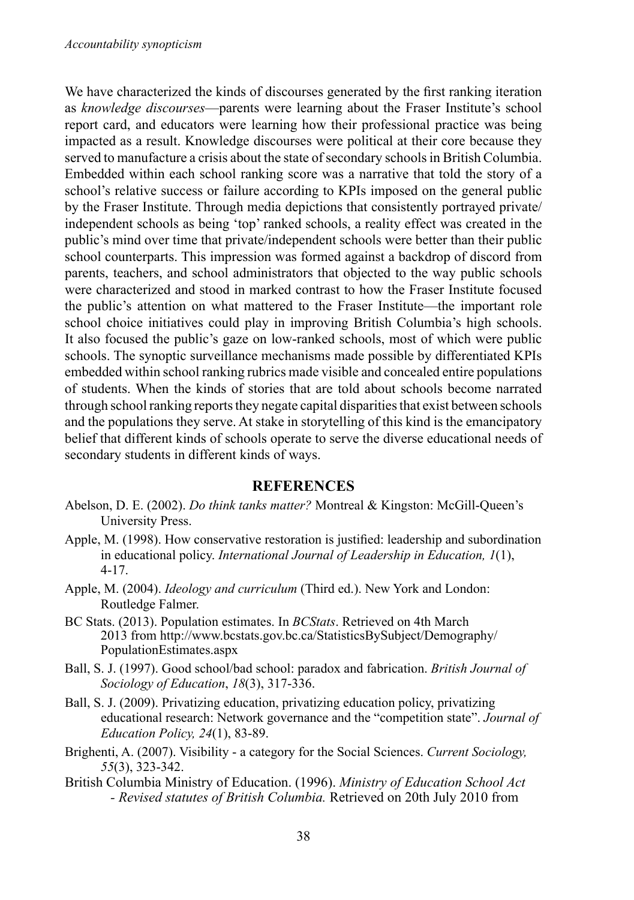We have characterized the kinds of discourses generated by the first ranking iteration as *knowledge discourses*—parents were learning about the Fraser Institute's school report card, and educators were learning how their professional practice was being impacted as a result. Knowledge discourses were political at their core because they served to manufacture a crisis about the state of secondary schools in British Columbia. Embedded within each school ranking score was a narrative that told the story of a school's relative success or failure according to KPIs imposed on the general public by the Fraser Institute. Through media depictions that consistently portrayed private/ independent schools as being 'top' ranked schools, a reality effect was created in the public's mind over time that private/independent schools were better than their public school counterparts. This impression was formed against a backdrop of discord from parents, teachers, and school administrators that objected to the way public schools were characterized and stood in marked contrast to how the Fraser Institute focused the public's attention on what mattered to the Fraser Institute—the important role school choice initiatives could play in improving British Columbia's high schools. It also focused the public's gaze on low-ranked schools, most of which were public schools. The synoptic surveillance mechanisms made possible by differentiated KPIs embedded within school ranking rubrics made visible and concealed entire populations of students. When the kinds of stories that are told about schools become narrated through school ranking reports they negate capital disparities that exist between schools and the populations they serve. At stake in storytelling of this kind is the emancipatory belief that different kinds of schools operate to serve the diverse educational needs of secondary students in different kinds of ways.

#### **References**

- Abelson, D. E. (2002). *Do think tanks matter?* Montreal & Kingston: McGill-Queen's University Press.
- Apple, M. (1998). How conservative restoration is justified: leadership and subordination in educational policy. *International Journal of Leadership in Education, 1*(1), 4-17.
- Apple, M. (2004). *Ideology and curriculum* (Third ed.). New York and London: Routledge Falmer.
- BC Stats. (2013). Population estimates. In *BCStats*. Retrieved on 4th March 2013 from [http://www.bcstats.gov.bc.ca/StatisticsBySubject/Demography/](http://www.bcstats.gov.bc.ca/StatisticsBySubject/Demography/PopulationEstimates.aspx) [PopulationEstimates.aspx](http://www.bcstats.gov.bc.ca/StatisticsBySubject/Demography/PopulationEstimates.aspx)
- Ball, S. J. (1997). Good school/bad school: paradox and fabrication. *British Journal of Sociology of Education*, *18*(3), 317-336.
- Ball, S. J. (2009). Privatizing education, privatizing education policy, privatizing educational research: Network governance and the "competition state". *Journal of Education Policy, 24*(1), 83-89.
- Brighenti, A. (2007). Visibility a category for the Social Sciences. *Current Sociology, 55*(3), 323-342.
- British Columbia Ministry of Education. (1996). *Ministry of Education School Act - Revised statutes of British Columbia.* Retrieved on 20th July 2010 from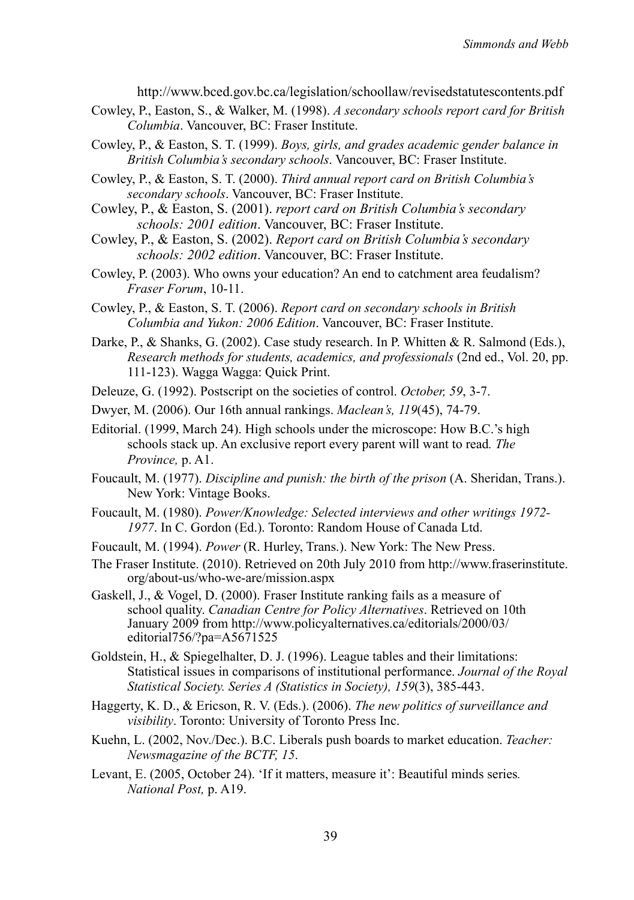http://www.bced.gov.bc.ca/legislation/schoollaw/revisedstatutescontents.pdf

- Cowley, P., Easton, S., & Walker, M. (1998). *A secondary schools report card for British Columbia*. Vancouver, BC: Fraser Institute.
- Cowley, P., & Easton, S. T. (1999). *Boys, girls, and grades academic gender balance in British Columbia's secondary schools*. Vancouver, BC: Fraser Institute.
- Cowley, P., & Easton, S. T. (2000). *Third annual report card on British Columbia's secondary schools*. Vancouver, BC: Fraser Institute.
- Cowley, P., & Easton, S. (2001). *report card on British Columbia's secondary schools: 2001 edition*. Vancouver, BC: Fraser Institute.
- Cowley, P., & Easton, S. (2002). *Report card on British Columbia's secondary schools: 2002 edition*. Vancouver, BC: Fraser Institute.
- Cowley, P. (2003). Who owns your education? An end to catchment area feudalism? *Fraser Forum*, 10-11.
- Cowley, P., & Easton, S. T. (2006). *Report card on secondary schools in British Columbia and Yukon: 2006 Edition*. Vancouver, BC: Fraser Institute.
- Darke, P., & Shanks, G. (2002). Case study research. In P. Whitten & R. Salmond (Eds.), *Research methods for students, academics, and professionals* (2nd ed., Vol. 20, pp. 111-123). Wagga Wagga: Quick Print.
- Deleuze, G. (1992). Postscript on the societies of control. *October, 59*, 3-7.
- Dwyer, M. (2006). Our 16th annual rankings. *Maclean's, 119*(45), 74-79.
- Editorial. (1999, March 24). High schools under the microscope: How B.C.'s high schools stack up. An exclusive report every parent will want to read*. The Province,* p. A1.
- Foucault, M. (1977). *Discipline and punish: the birth of the prison* (A. Sheridan, Trans.). New York: Vintage Books.
- Foucault, M. (1980). *Power/Knowledge: Selected interviews and other writings 1972- 1977*. In C. Gordon (Ed.). Toronto: Random House of Canada Ltd.
- Foucault, M. (1994). *Power* (R. Hurley, Trans.). New York: The New Press.
- The Fraser Institute. (2010). Retrieved on 20th July 2010 from [http://www.fraserinstitute.](http://www.fraserinstitute.org/about-us/who-we-are/mission.aspx) [org/about-us/who-we-are/mission.aspx](http://www.fraserinstitute.org/about-us/who-we-are/mission.aspx)
- Gaskell, J., & Vogel, D. (2000). Fraser Institute ranking fails as a measure of school quality. *Canadian Centre for Policy Alternatives*. Retrieved on 10th January 2009 from [http://www.policyalternatives.ca/editorials/2000/03/](http://www.policyalternatives.ca/editorials/2000/03/editorial756/?pa=A5671525) [editorial756/?pa=A5671525](http://www.policyalternatives.ca/editorials/2000/03/editorial756/?pa=A5671525)
- Goldstein, H., & Spiegelhalter, D. J. (1996). League tables and their limitations: Statistical issues in comparisons of institutional performance. *Journal of the Royal Statistical Society. Series A (Statistics in Society), 159*(3), 385-443.
- Haggerty, K. D., & Ericson, R. V. (Eds.). (2006). *The new politics of surveillance and visibility*. Toronto: University of Toronto Press Inc.
- Kuehn, L. (2002, Nov./Dec.). B.C. Liberals push boards to market education. *Teacher: Newsmagazine of the BCTF, 15*.
- Levant, E. (2005, October 24). 'If it matters, measure it': Beautiful minds series*. National Post,* p. A19.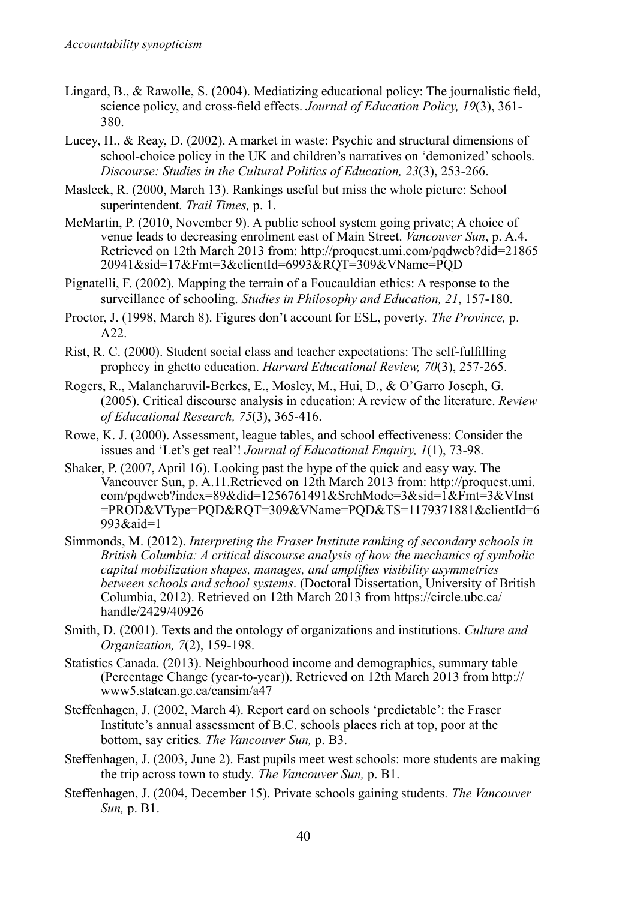- Lingard, B., & Rawolle, S. (2004). Mediatizing educational policy: The journalistic field, science policy, and cross-field effects. *Journal of Education Policy, 19*(3), 361- 380.
- Lucey, H., & Reay, D. (2002). A market in waste: Psychic and structural dimensions of school-choice policy in the UK and children's narratives on 'demonized'schools. *Discourse: Studies in the Cultural Politics of Education, 23*(3), 253-266.
- Masleck, R. (2000, March 13). Rankings useful but miss the whole picture: School superintendent*. Trail Times,* p. 1.
- McMartin, P. (2010, November 9). A public school system going private; A choice of venue leads to decreasing enrolment east of Main Street. *Vancouver Sun*, p. A.4. Retrieved on 12th March 2013 from: [http://proquest.umi.com/pqdweb?did=21865](http://proquest.umi.com/pqdweb?did=2186520941&sid=17&Fmt=3&clientId=6993&RQT=309&VName=PQD) [20941&sid=17&Fmt=3&clientId=6993&RQT=309&VName=PQD](http://proquest.umi.com/pqdweb?did=2186520941&sid=17&Fmt=3&clientId=6993&RQT=309&VName=PQD)
- Pignatelli, F. (2002). Mapping the terrain of a Foucauldian ethics: A response to the surveillance of schooling. *Studies in Philosophy and Education, 21*, 157-180.
- Proctor, J. (1998, March 8). Figures don't account for ESL, poverty*. The Province,* p. A22.
- Rist, R. C. (2000). Student social class and teacher expectations: The self-fulfilling prophecy in ghetto education. *Harvard Educational Review, 70*(3), 257-265.
- Rogers, R., Malancharuvil-Berkes, E., Mosley, M., Hui, D., & O'Garro Joseph, G. (2005). Critical discourse analysis in education: A review of the literature. *Review of Educational Research, 75*(3), 365-416.
- Rowe, K. J. (2000). Assessment, league tables, and school effectiveness: Consider the issues and 'Let's get real'! *Journal of Educational Enquiry, 1*(1), 73-98.
- Shaker, P. (2007, April 16). Looking past the hype of the quick and easy way. The Vancouver Sun, p. A.11.Retrieved on 12th March 2013 from: [http://proquest.umi.](http://proquest.umi.com/pqdweb?index=89&did=1256761491&SrchMode=3&sid=1&Fmt=3&VInst=PROD&VType=PQD&RQT=309&VName=PQD&TS=1179371881&clientId=6993&aid=1) [com/pqdweb?index=89&did=1256761491&SrchMode=3&sid=1&Fmt=3&VInst](http://proquest.umi.com/pqdweb?index=89&did=1256761491&SrchMode=3&sid=1&Fmt=3&VInst=PROD&VType=PQD&RQT=309&VName=PQD&TS=1179371881&clientId=6993&aid=1) [=PROD&VType=PQD&RQT=309&VName=PQD&TS=1179371881&clientId=6](http://proquest.umi.com/pqdweb?index=89&did=1256761491&SrchMode=3&sid=1&Fmt=3&VInst=PROD&VType=PQD&RQT=309&VName=PQD&TS=1179371881&clientId=6993&aid=1) [993&aid=1](http://proquest.umi.com/pqdweb?index=89&did=1256761491&SrchMode=3&sid=1&Fmt=3&VInst=PROD&VType=PQD&RQT=309&VName=PQD&TS=1179371881&clientId=6993&aid=1)
- Simmonds, M. (2012). *Interpreting the Fraser Institute ranking of secondary schools in British Columbia: A critical discourse analysis of how the mechanics of symbolic capital mobilization shapes, manages, and amplifies visibility asymmetries between schools and school systems*. (Doctoral Dissertation, University of British Columbia, 2012). Retrieved on 12th March 2013 from [https://circle.ubc.ca/](https://circle.ubc.ca/handle/2429/40926) [handle/2429/40926](https://circle.ubc.ca/handle/2429/40926)
- Smith, D. (2001). Texts and the ontology of organizations and institutions. *Culture and Organization, 7*(2), 159-198.
- Statistics Canada. (2013). Neighbourhood income and demographics, summary table (Percentage Change (year-to-year)). Retrieved on 12th March 2013 from [http://](http://www5.statcan.gc.ca/cansim/a47) [www5.statcan.gc.ca/cansim/a47](http://www5.statcan.gc.ca/cansim/a47)
- Steffenhagen, J. (2002, March 4). Report card on schools 'predictable': the Fraser Institute's annual assessment of B.C. schools places rich at top, poor at the bottom, say critics*. The Vancouver Sun,* p. B3.
- Steffenhagen, J. (2003, June 2). East pupils meet west schools: more students are making the trip across town to study*. The Vancouver Sun,* p. B1.
- Steffenhagen, J. (2004, December 15). Private schools gaining students*. The Vancouver Sun,* p. B1.